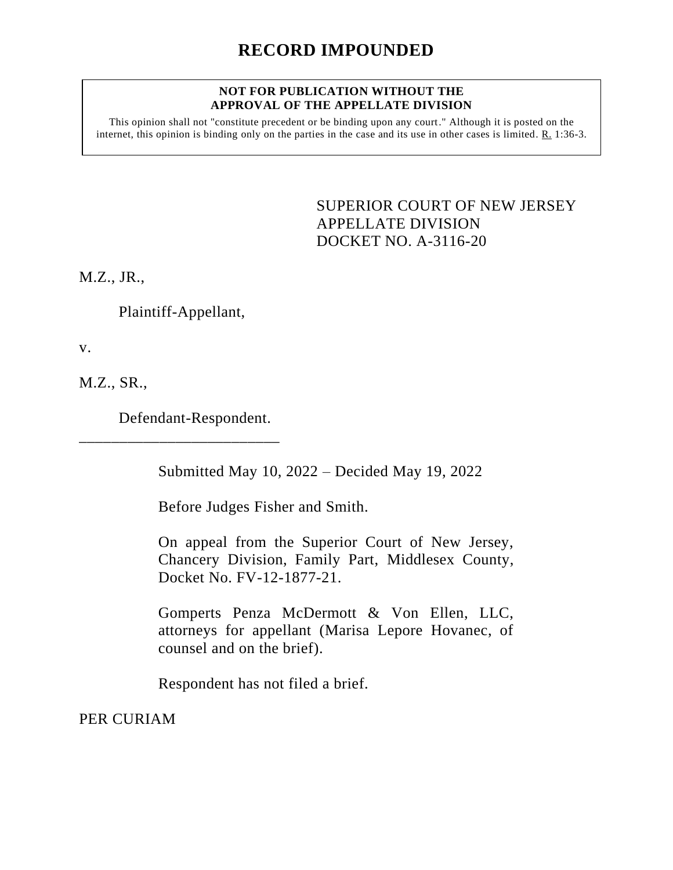## **NOT FOR PUBLICATION WITHOUT THE APPROVAL OF THE APPELLATE DIVISION**

This opinion shall not "constitute precedent or be binding upon any court." Although it is posted on the internet, this opinion is binding only on the parties in the case and its use in other cases is limited. R. 1:36-3.

> <span id="page-0-0"></span>SUPERIOR COURT OF NEW JERSEY APPELLATE DIVISION DOCKET NO. A-3116-20

M.Z., JR.,

Plaintiff-Appellant,

v.

M.Z., SR.,

Defendant-Respondent.

\_\_\_\_\_\_\_\_\_\_\_\_\_\_\_\_\_\_\_\_\_\_\_\_\_

Submitted May 10, 2022 – Decided May 19, 2022

Before Judges Fisher and Smith.

On appeal from the Superior Court of New Jersey, Chancery Division, Family Part, Middlesex County, Docket No. FV-12-1877-21.

Gomperts Penza McDermott & Von Ellen, LLC, attorneys for appellant (Marisa Lepore Hovanec, of counsel and on the brief).

Respondent has not filed a brief.

PER CURIAM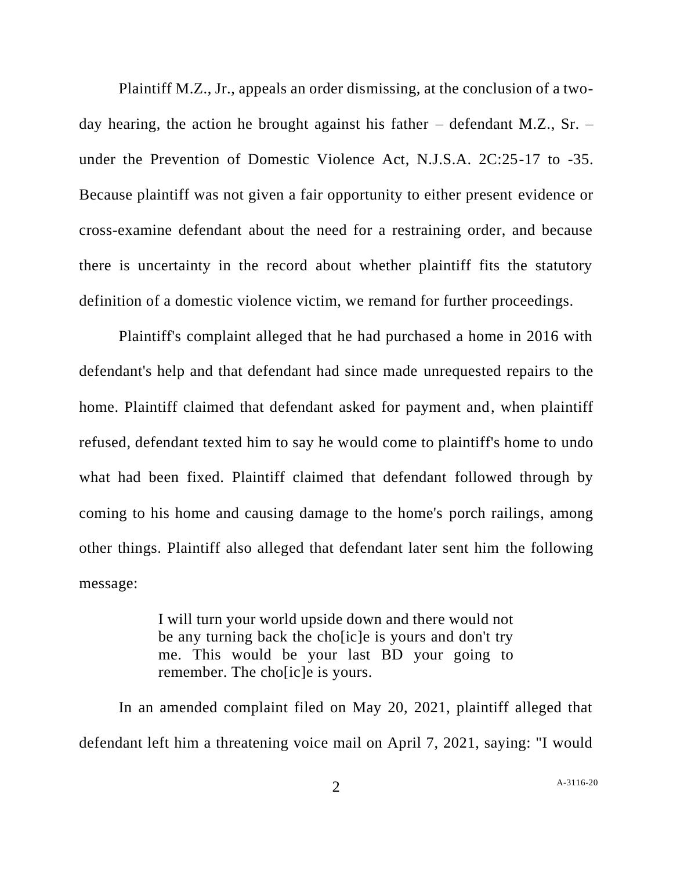Plaintiff M.Z., Jr., appeals an order dismissing, at the conclusion of a twoday hearing, the action he brought against his father – defendant M.Z., Sr. – under the Prevention of Domestic Violence Act, N.J.S.A. 2C:25-17 to -35. Because plaintiff was not given a fair opportunity to either present evidence or cross-examine defendant about the need for a restraining order, and because there is uncertainty in the record about whether plaintiff fits the statutory definition of a domestic violence victim, we remand for further proceedings.

Plaintiff's complaint alleged that he had purchased a home in 2016 with defendant's help and that defendant had since made unrequested repairs to the home. Plaintiff claimed that defendant asked for payment and, when plaintiff refused, defendant texted him to say he would come to plaintiff's home to undo what had been fixed. Plaintiff claimed that defendant followed through by coming to his home and causing damage to the home's porch railings, among other things. Plaintiff also alleged that defendant later sent him the following message:

> I will turn your world upside down and there would not be any turning back the cho[ic]e is yours and don't try me. This would be your last BD your going to remember. The cho[ic]e is yours.

In an amended complaint filed on May 20, 2021, plaintiff alleged that defendant left him a threatening voice mail on April 7, 2021, saying: "I would

2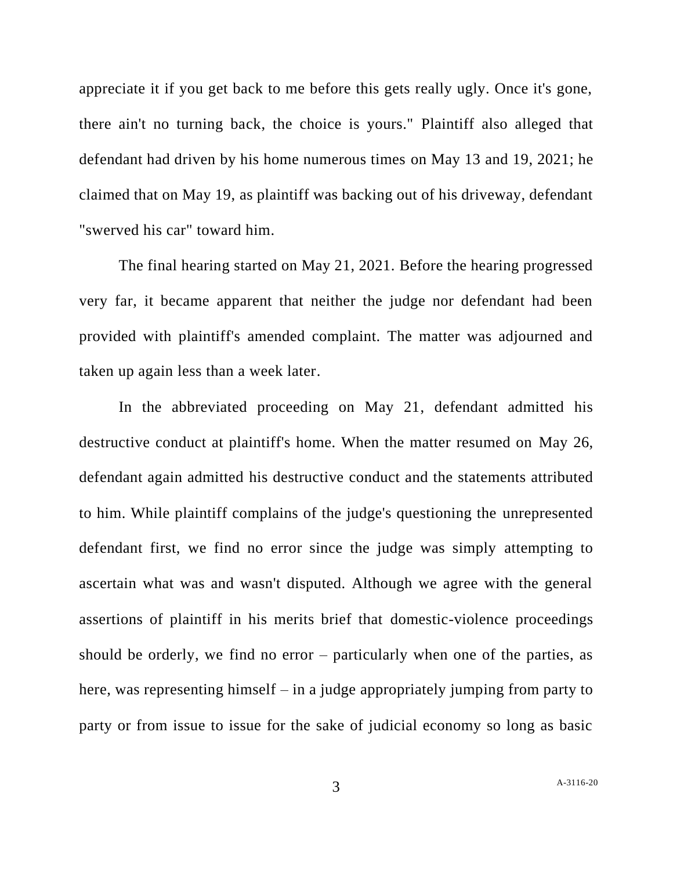appreciate it if you get back to me before this gets really ugly. Once it's gone, there ain't no turning back, the choice is yours." Plaintiff also alleged that defendant had driven by his home numerous times on May 13 and 19, 2021; he claimed that on May 19, as plaintiff was backing out of his driveway, defendant "swerved his car" toward him.

The final hearing started on May 21, 2021. Before the hearing progressed very far, it became apparent that neither the judge nor defendant had been provided with plaintiff's amended complaint. The matter was adjourned and taken up again less than a week later.

In the abbreviated proceeding on May 21, defendant admitted his destructive conduct at plaintiff's home. When the matter resumed on May 26, defendant again admitted his destructive conduct and the statements attributed to him. While plaintiff complains of the judge's questioning the unrepresented defendant first, we find no error since the judge was simply attempting to ascertain what was and wasn't disputed. Although we agree with the general assertions of plaintiff in his merits brief that domestic-violence proceedings should be orderly, we find no error – particularly when one of the parties, as here, was representing himself – in a judge appropriately jumping from party to party or from issue to issue for the sake of judicial economy so long as basic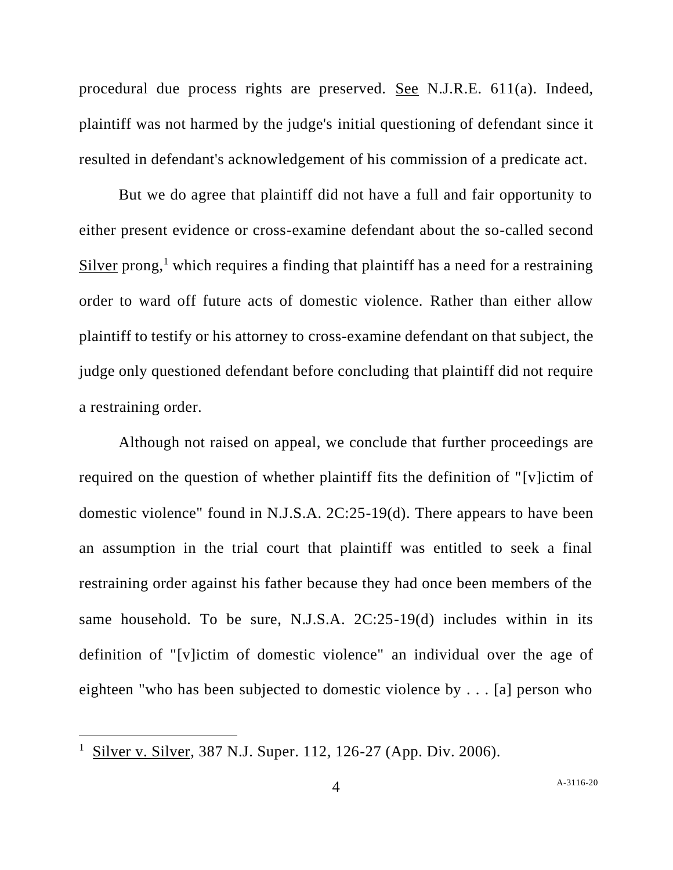procedural due process rights are preserved. See N.J.R.E. 611(a). Indeed, plaintiff was not harmed by the judge's initial questioning of defendant since it resulted in defendant's acknowledgement of his commission of a predicate act.

But we do agree that plaintiff did not have a full and fair opportunity to either present evidence or cross-examine defendant about the so-called second Silver prong, $<sup>1</sup>$  which requires a finding that plaintiff has a need for a restraining</sup> order to ward off future acts of domestic violence. Rather than either allow plaintiff to testify or his attorney to cross-examine defendant on that subject, the judge only questioned defendant before concluding that plaintiff did not require a restraining order.

Although not raised on appeal, we conclude that further proceedings are required on the question of whether plaintiff fits the definition of "[v]ictim of domestic violence" found in N.J.S.A. 2C:25-19(d). There appears to have been an assumption in the trial court that plaintiff was entitled to seek a final restraining order against his father because they had once been members of the same household. To be sure, N.J.S.A. 2C:25-19(d) includes within in its definition of "[v]ictim of domestic violence" an individual over the age of eighteen "who has been subjected to domestic violence by . . . [a] person who

Silver v. Silver, 387 N.J. Super. 112, 126-27 (App. Div. 2006).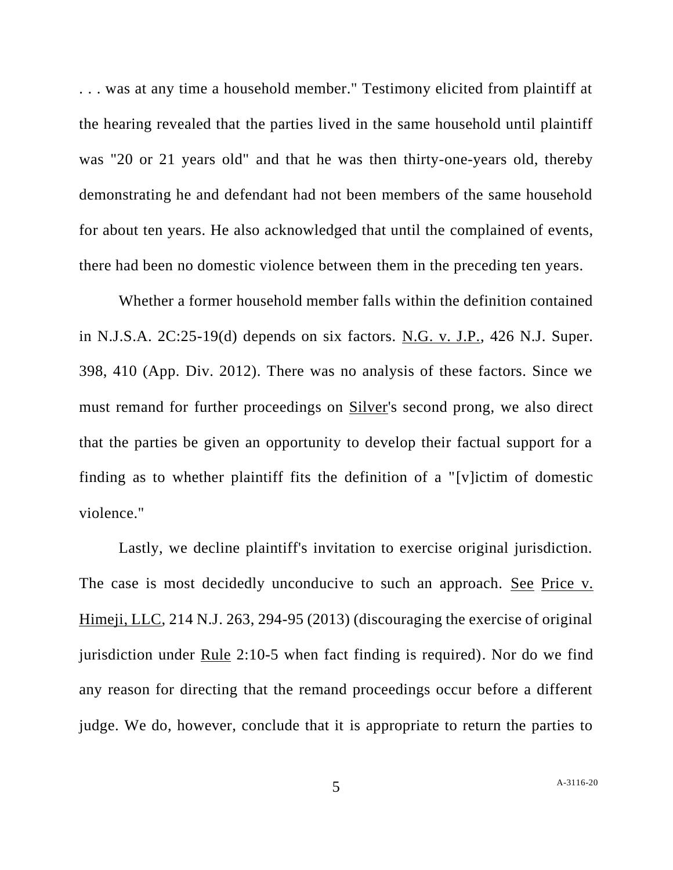. . . was at any time a household member." Testimony elicited from plaintiff at the hearing revealed that the parties lived in the same household until plaintiff was "20 or 21 years old" and that he was then thirty-one-years old, thereby demonstrating he and defendant had not been members of the same household for about ten years. He also acknowledged that until the complained of events, there had been no domestic violence between them in the preceding ten years.

Whether a former household member falls within the definition contained in N.J.S.A. 2C:25-19(d) depends on six factors. N.G. v. J.P., 426 N.J. Super. 398, 410 (App. Div. 2012). There was no analysis of these factors. Since we must remand for further proceedings on Silver's second prong, we also direct that the parties be given an opportunity to develop their factual support for a finding as to whether plaintiff fits the definition of a "[v]ictim of domestic violence."

Lastly, we decline plaintiff's invitation to exercise original jurisdiction. The case is most decidedly unconducive to such an approach. See Price v. Himeji, LLC, 214 N.J. 263, 294-95 (2013) (discouraging the exercise of original jurisdiction under Rule 2:10-5 when fact finding is required). Nor do we find any reason for directing that the remand proceedings occur before a different judge. We do, however, conclude that it is appropriate to return the parties to